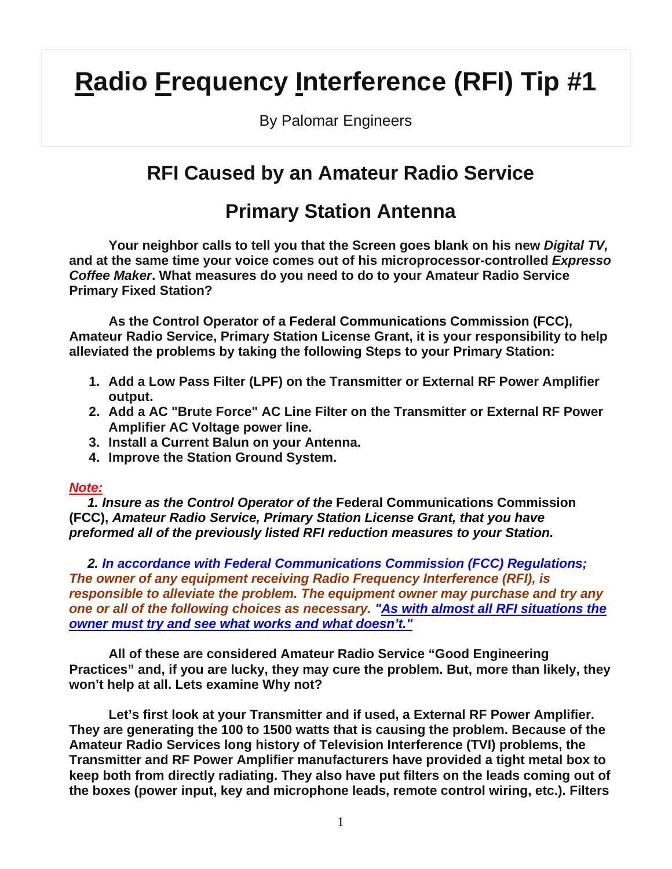## **Radio Frequency Interference (RFI) Tip #1**

By Palomar Engineers

## **RFI Caused by an Amateur Radio Service**

## **Primary Station Antenna**

**Your neighbor calls to tell you that the Screen goes blank on his new** *Digital TV,*  **and at the same time your voice comes out of his microprocessor-controlled** *Expresso Coffee Maker***. What measures do you need to do to your Amateur Radio Service Primary Fixed Station?** 

 **As the Control Operator of a Federal Communications Commission (FCC), Amateur Radio Service, Primary Station License Grant, it is your responsibility to help alleviated the problems by taking the following Steps to your Primary Station:** 

- **1. Add a Low Pass Filter (LPF) on the Transmitter or External RF Power Amplifier output.**
- **2. Add a AC "Brute Force" AC Line Filter on the Transmitter or External RF Power Amplifier AC Voltage power line.**
- **3. Install a Current Balun on your Antenna.**
- **4. Improve the Station Ground System.**

## *Note:*

 *1. Insure as the Control Operator of the* **Federal Communications Commission (FCC),** *Amateur Radio Service, Primary Station License Grant, that you have preformed all of the previously listed RFI reduction measures to your Station.* 

 *2. In accordance with Federal Communications Commission (FCC) Regulations; The owner of any equipment receiving Radio Frequency Interference (RFI), is responsible to alleviate the problem. The equipment owner may purchase and try any one or all of the following choices as necessary. "As with almost all RFI situations the owner must try and see what works and what doesn't."*

 **All of these are considered Amateur Radio Service "Good Engineering Practices" and, if you are lucky, they may cure the problem. But, more than likely, they won't help at all. Lets examine Why not?**

 **Let's first look at your Transmitter and if used, a External RF Power Amplifier. They are generating the 100 to 1500 watts that is causing the problem. Because of the Amateur Radio Services long history of Television Interference (TVI) problems, the Transmitter and RF Power Amplifier manufacturers have provided a tight metal box to keep both from directly radiating. They also have put filters on the leads coming out of the boxes (power input, key and microphone leads, remote control wiring, etc.). Filters**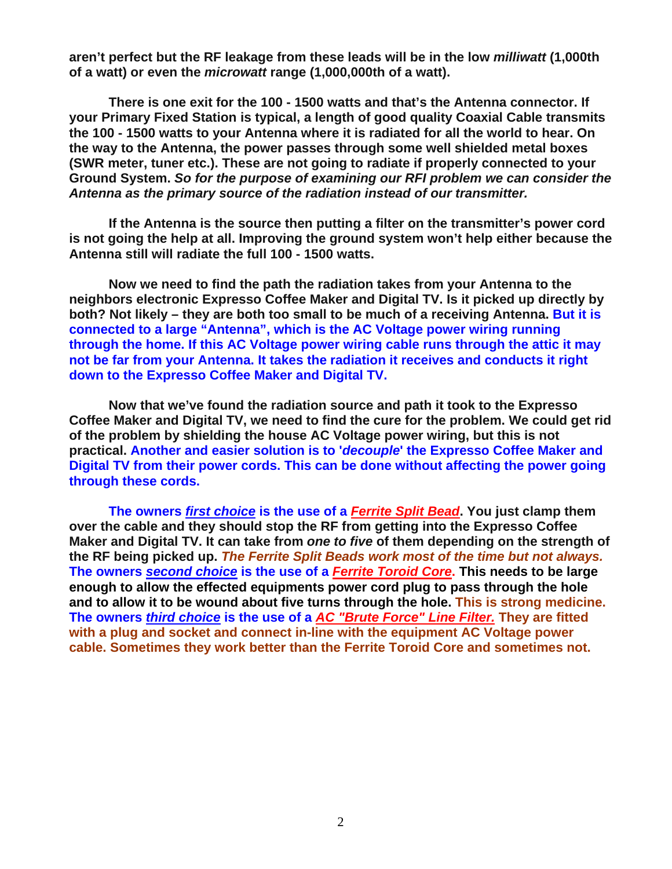**aren't perfect but the RF leakage from these leads will be in the low** *milliwatt* **(1,000th of a watt) or even the** *microwatt* **range (1,000,000th of a watt).**

 **There is one exit for the 100 - 1500 watts and that's the Antenna connector. If your Primary Fixed Station is typical, a length of good quality Coaxial Cable transmits the 100 - 1500 watts to your Antenna where it is radiated for all the world to hear. On the way to the Antenna, the power passes through some well shielded metal boxes (SWR meter, tuner etc.). These are not going to radiate if properly connected to your Ground System.** *So for the purpose of examining our RFI problem we can consider the Antenna as the primary source of the radiation instead of our transmitter.*

 **If the Antenna is the source then putting a filter on the transmitter's power cord is not going the help at all. Improving the ground system won't help either because the Antenna still will radiate the full 100 - 1500 watts.**

 **Now we need to find the path the radiation takes from your Antenna to the neighbors electronic Expresso Coffee Maker and Digital TV. Is it picked up directly by both? Not likely – they are both too small to be much of a receiving Antenna. But it is connected to a large "Antenna", which is the AC Voltage power wiring running through the home. If this AC Voltage power wiring cable runs through the attic it may not be far from your Antenna. It takes the radiation it receives and conducts it right down to the Expresso Coffee Maker and Digital TV.**

 **Now that we've found the radiation source and path it took to the Expresso Coffee Maker and Digital TV, we need to find the cure for the problem. We could get rid of the problem by shielding the house AC Voltage power wiring, but this is not practical. Another and easier solution is to '***decouple***' the Expresso Coffee Maker and Digital TV from their power cords. This can be done without affecting the power going through these cords.**

 **The owners** *first choice* **is the use of a** *Ferrite Split Bead***. You just clamp them over the cable and they should stop the RF from getting into the Expresso Coffee Maker and Digital TV. It can take from** *one to five* **of them depending on the strength of the RF being picked up.** *The Ferrite Split Beads work most of the time but not always.* **The owners** *second choice* **is the use of a** *Ferrite Toroid Core***. This needs to be large enough to allow the effected equipments power cord plug to pass through the hole and to allow it to be wound about five turns through the hole. This is strong medicine. The owners** *third choice* **is the use of a** *AC "Brute Force" Line Filter.* **They are fitted with a plug and socket and connect in-line with the equipment AC Voltage power cable. Sometimes they work better than the Ferrite Toroid Core and sometimes not.**